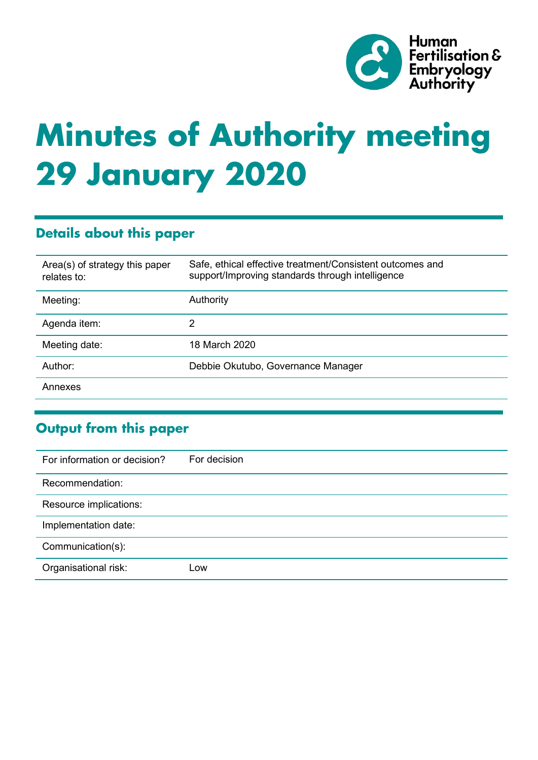

# **Minutes of Authority meeting 29 January 2020**

# **Details about this paper**

| Area(s) of strategy this paper<br>relates to: | Safe, ethical effective treatment/Consistent outcomes and<br>support/Improving standards through intelligence |
|-----------------------------------------------|---------------------------------------------------------------------------------------------------------------|
| Meeting:                                      | Authority                                                                                                     |
| Agenda item:                                  | 2                                                                                                             |
| Meeting date:                                 | 18 March 2020                                                                                                 |
| Author:                                       | Debbie Okutubo, Governance Manager                                                                            |
| Annexes                                       |                                                                                                               |

# **Output from this paper**

| For information or decision? | For decision |
|------------------------------|--------------|
| Recommendation:              |              |
| Resource implications:       |              |
| Implementation date:         |              |
| Communication(s):            |              |
| Organisational risk:         | LOW          |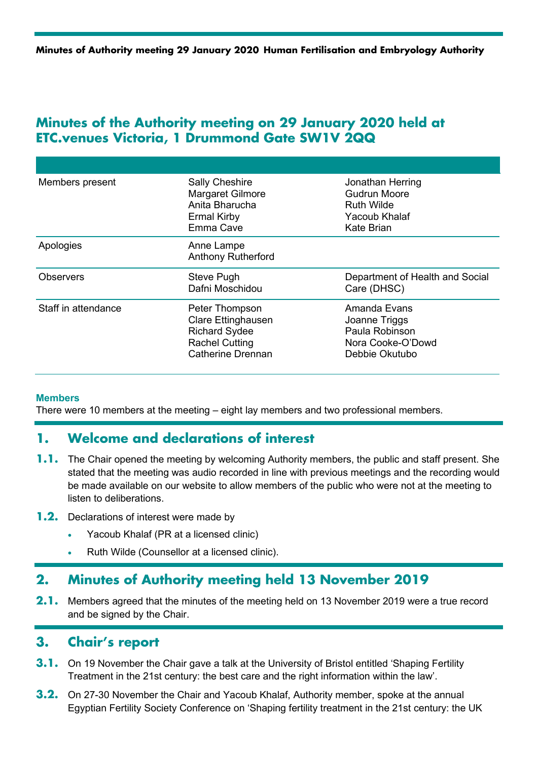## **Minutes of the Authority meeting on 29 January 2020 held at ETC.venues Victoria, 1 Drummond Gate SW1V 2QQ**

| Members present     | <b>Sally Cheshire</b><br>Margaret Gilmore<br>Anita Bharucha<br><b>Ermal Kirby</b><br>Emma Cave | Jonathan Herring<br><b>Gudrun Moore</b><br><b>Ruth Wilde</b><br>Yacoub Khalaf<br>Kate Brian |
|---------------------|------------------------------------------------------------------------------------------------|---------------------------------------------------------------------------------------------|
| Apologies           | Anne Lampe<br><b>Anthony Rutherford</b>                                                        |                                                                                             |
| Observers           | Steve Pugh<br>Dafni Moschidou                                                                  | Department of Health and Social<br>Care (DHSC)                                              |
| Staff in attendance |                                                                                                |                                                                                             |

#### **Members**

There were 10 members at the meeting – eight lay members and two professional members.

## **1. Welcome and declarations of interest**

- **1.1.** The Chair opened the meeting by welcoming Authority members, the public and staff present. She stated that the meeting was audio recorded in line with previous meetings and the recording would be made available on our website to allow members of the public who were not at the meeting to listen to deliberations.
- **1.2.** Declarations of interest were made by
	- Yacoub Khalaf (PR at a licensed clinic)
	- Ruth Wilde (Counsellor at a licensed clinic).

## **2. Minutes of Authority meeting held 13 November 2019**

**2.1.** Members agreed that the minutes of the meeting held on 13 November 2019 were a true record and be signed by the Chair.

## **3. Chair's report**

- **3.1.** On 19 November the Chair gave a talk at the University of Bristol entitled 'Shaping Fertility Treatment in the 21st century: the best care and the right information within the law'.
- **3.2.** On 27-30 November the Chair and Yacoub Khalaf, Authority member, spoke at the annual Egyptian Fertility Society Conference on 'Shaping fertility treatment in the 21st century: the UK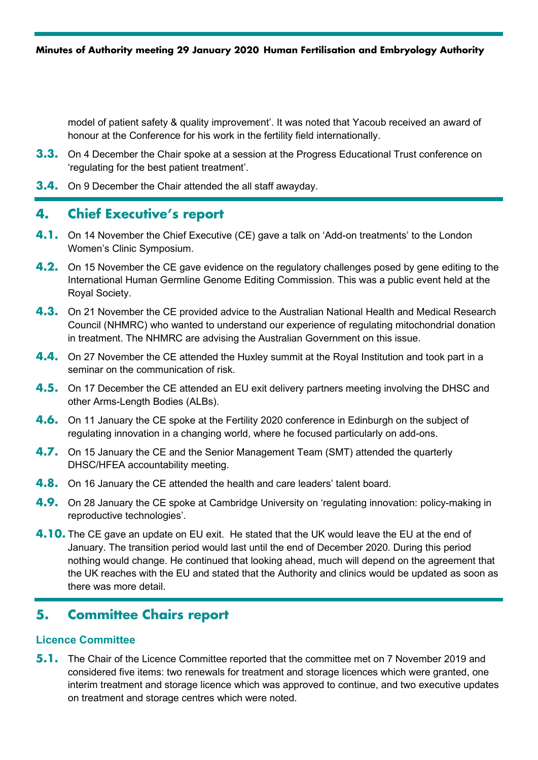model of patient safety & quality improvement'. It was noted that Yacoub received an award of honour at the Conference for his work in the fertility field internationally.

- **3.3.** On 4 December the Chair spoke at a session at the Progress Educational Trust conference on 'regulating for the best patient treatment'.
- **3.4.** On 9 December the Chair attended the all staff awayday.

## **4. Chief Executive's report**

- **4.1.** On 14 November the Chief Executive (CE) gave a talk on 'Add-on treatments' to the London Women's Clinic Symposium.
- **4.2.** On 15 November the CE gave evidence on the regulatory challenges posed by gene editing to the International Human Germline Genome Editing Commission. This was a public event held at the Royal Society.
- **4.3.** On 21 November the CE provided advice to the Australian National Health and Medical Research Council (NHMRC) who wanted to understand our experience of regulating mitochondrial donation in treatment. The NHMRC are advising the Australian Government on this issue.
- **4.4.** On 27 November the CE attended the Huxley summit at the Royal Institution and took part in a seminar on the communication of risk.
- **4.5.** On 17 December the CE attended an EU exit delivery partners meeting involving the DHSC and other Arms-Length Bodies (ALBs).
- **4.6.** On 11 January the CE spoke at the Fertility 2020 conference in Edinburgh on the subject of regulating innovation in a changing world, where he focused particularly on add-ons.
- **4.7.** On 15 January the CE and the Senior Management Team (SMT) attended the quarterly DHSC/HFEA accountability meeting.
- **4.8.** On 16 January the CE attended the health and care leaders' talent board.
- **4.9.** On 28 January the CE spoke at Cambridge University on 'regulating innovation: policy-making in reproductive technologies'.
- **4.10.** The CE gave an update on EU exit. He stated that the UK would leave the EU at the end of January. The transition period would last until the end of December 2020. During this period nothing would change. He continued that looking ahead, much will depend on the agreement that the UK reaches with the EU and stated that the Authority and clinics would be updated as soon as there was more detail.

# **5. Committee Chairs report**

#### **Licence Committee**

**5.1.** The Chair of the Licence Committee reported that the committee met on 7 November 2019 and considered five items: two renewals for treatment and storage licences which were granted, one interim treatment and storage licence which was approved to continue, and two executive updates on treatment and storage centres which were noted.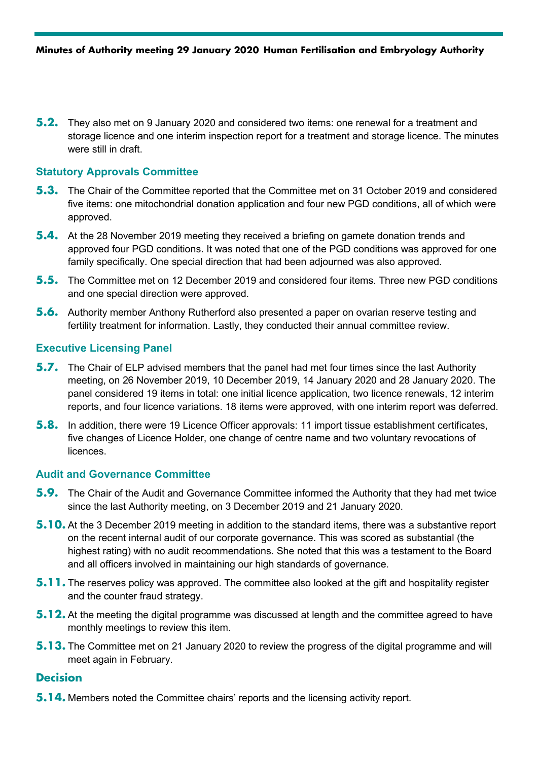**5.2.** They also met on 9 January 2020 and considered two items: one renewal for a treatment and storage licence and one interim inspection report for a treatment and storage licence. The minutes were still in draft.

#### **Statutory Approvals Committee**

- **5.3.** The Chair of the Committee reported that the Committee met on 31 October 2019 and considered five items: one mitochondrial donation application and four new PGD conditions, all of which were approved.
- **5.4.** At the 28 November 2019 meeting they received a briefing on gamete donation trends and approved four PGD conditions. It was noted that one of the PGD conditions was approved for one family specifically. One special direction that had been adjourned was also approved.
- **5.5.** The Committee met on 12 December 2019 and considered four items. Three new PGD conditions and one special direction were approved.
- **5.6.** Authority member Anthony Rutherford also presented a paper on ovarian reserve testing and fertility treatment for information. Lastly, they conducted their annual committee review.

#### **Executive Licensing Panel**

- **5.7.** The Chair of ELP advised members that the panel had met four times since the last Authority meeting, on 26 November 2019, 10 December 2019, 14 January 2020 and 28 January 2020. The panel considered 19 items in total: one initial licence application, two licence renewals, 12 interim reports, and four licence variations. 18 items were approved, with one interim report was deferred.
- **5.8.** In addition, there were 19 Licence Officer approvals: 11 import tissue establishment certificates, five changes of Licence Holder, one change of centre name and two voluntary revocations of **licences**

#### **Audit and Governance Committee**

- **5.9.** The Chair of the Audit and Governance Committee informed the Authority that they had met twice since the last Authority meeting, on 3 December 2019 and 21 January 2020.
- **5.10.** At the 3 December 2019 meeting in addition to the standard items, there was a substantive report on the recent internal audit of our corporate governance. This was scored as substantial (the highest rating) with no audit recommendations. She noted that this was a testament to the Board and all officers involved in maintaining our high standards of governance.
- **5.11.** The reserves policy was approved. The committee also looked at the gift and hospitality register and the counter fraud strategy.
- **5.12.** At the meeting the digital programme was discussed at length and the committee agreed to have monthly meetings to review this item.
- **5.13.** The Committee met on 21 January 2020 to review the progress of the digital programme and will meet again in February.

#### **Decision**

**5.14.** Members noted the Committee chairs' reports and the licensing activity report.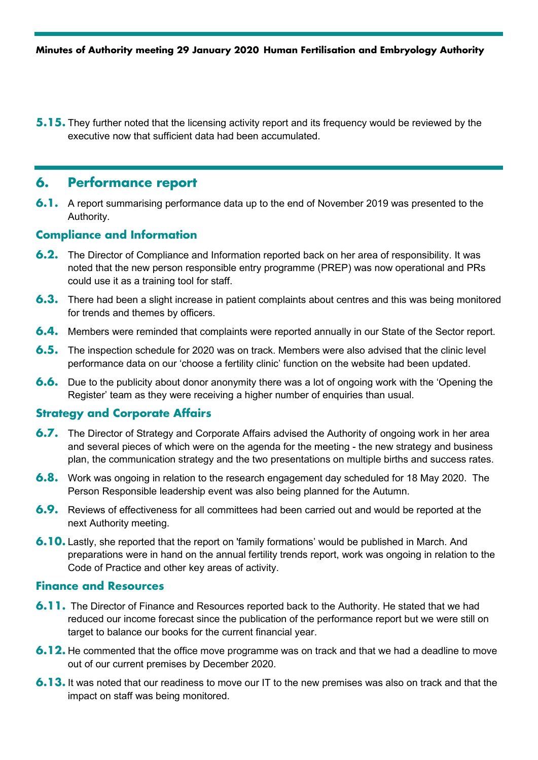**5.15.** They further noted that the licensing activity report and its frequency would be reviewed by the executive now that sufficient data had been accumulated.

# **6. Performance report**

**6.1.** A report summarising performance data up to the end of November 2019 was presented to the Authority.

### **Compliance and Information**

- **6.2.** The Director of Compliance and Information reported back on her area of responsibility. It was noted that the new person responsible entry programme (PREP) was now operational and PRs could use it as a training tool for staff.
- **6.3.** There had been a slight increase in patient complaints about centres and this was being monitored for trends and themes by officers.
- **6.4.** Members were reminded that complaints were reported annually in our State of the Sector report.
- **6.5.** The inspection schedule for 2020 was on track. Members were also advised that the clinic level performance data on our 'choose a fertility clinic' function on the website had been updated.
- **6.6.** Due to the publicity about donor anonymity there was a lot of ongoing work with the 'Opening the Register' team as they were receiving a higher number of enquiries than usual.

#### **Strategy and Corporate Affairs**

- **6.7.** The Director of Strategy and Corporate Affairs advised the Authority of ongoing work in her area and several pieces of which were on the agenda for the meeting - the new strategy and business plan, the communication strategy and the two presentations on multiple births and success rates.
- **6.8.** Work was ongoing in relation to the research engagement day scheduled for 18 May 2020. The Person Responsible leadership event was also being planned for the Autumn.
- **6.9.** Reviews of effectiveness for all committees had been carried out and would be reported at the next Authority meeting.
- **6.10.** Lastly, she reported that the report on 'family formations' would be published in March. And preparations were in hand on the annual fertility trends report, work was ongoing in relation to the Code of Practice and other key areas of activity.

#### **Finance and Resources**

- **6.11.** The Director of Finance and Resources reported back to the Authority. He stated that we had reduced our income forecast since the publication of the performance report but we were still on target to balance our books for the current financial year.
- **6.12.** He commented that the office move programme was on track and that we had a deadline to move out of our current premises by December 2020.
- **6.13.** It was noted that our readiness to move our IT to the new premises was also on track and that the impact on staff was being monitored.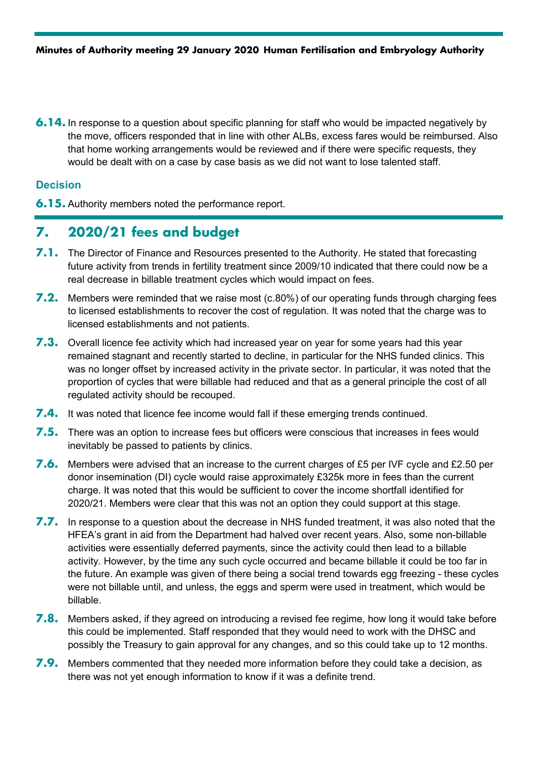**6.14.** In response to a question about specific planning for staff who would be impacted negatively by the move, officers responded that in line with other ALBs, excess fares would be reimbursed. Also that home working arrangements would be reviewed and if there were specific requests, they would be dealt with on a case by case basis as we did not want to lose talented staff.

#### **Decision**

**6.15.** Authority members noted the performance report.

## **7. 2020/21 fees and budget**

- **7.1.** The Director of Finance and Resources presented to the Authority. He stated that forecasting future activity from trends in fertility treatment since 2009/10 indicated that there could now be a real decrease in billable treatment cycles which would impact on fees.
- **7.2.** Members were reminded that we raise most (c.80%) of our operating funds through charging fees to licensed establishments to recover the cost of regulation. It was noted that the charge was to licensed establishments and not patients.
- **7.3.** Overall licence fee activity which had increased year on year for some years had this year remained stagnant and recently started to decline, in particular for the NHS funded clinics. This was no longer offset by increased activity in the private sector. In particular, it was noted that the proportion of cycles that were billable had reduced and that as a general principle the cost of all regulated activity should be recouped.
- **7.4.** It was noted that licence fee income would fall if these emerging trends continued.
- **7.5.** There was an option to increase fees but officers were conscious that increases in fees would inevitably be passed to patients by clinics.
- **7.6.** Members were advised that an increase to the current charges of £5 per IVF cycle and £2.50 per donor insemination (DI) cycle would raise approximately £325k more in fees than the current charge. It was noted that this would be sufficient to cover the income shortfall identified for 2020/21. Members were clear that this was not an option they could support at this stage.
- **7.7.** In response to a question about the decrease in NHS funded treatment, it was also noted that the HFEA's grant in aid from the Department had halved over recent years. Also, some non-billable activities were essentially deferred payments, since the activity could then lead to a billable activity. However, by the time any such cycle occurred and became billable it could be too far in the future. An example was given of there being a social trend towards egg freezing - these cycles were not billable until, and unless, the eggs and sperm were used in treatment, which would be billable.
- **7.8.** Members asked, if they agreed on introducing a revised fee regime, how long it would take before this could be implemented. Staff responded that they would need to work with the DHSC and possibly the Treasury to gain approval for any changes, and so this could take up to 12 months.
- **7.9.** Members commented that they needed more information before they could take a decision, as there was not yet enough information to know if it was a definite trend.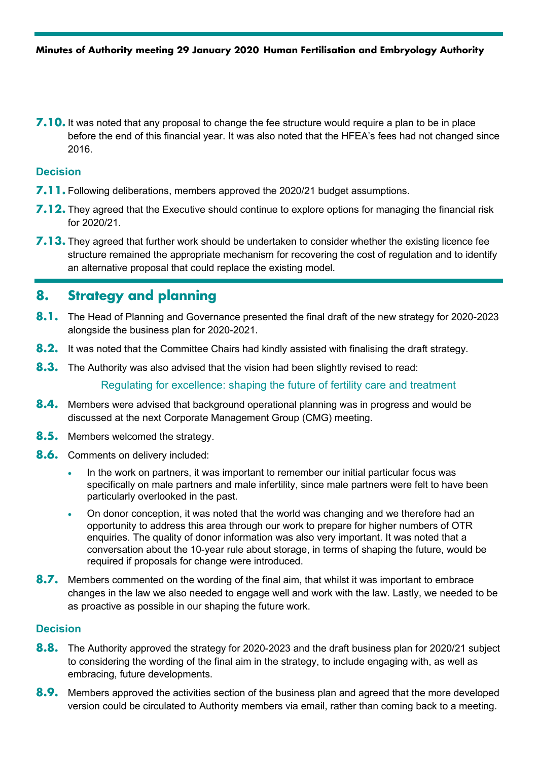**7.10.** It was noted that any proposal to change the fee structure would require a plan to be in place before the end of this financial year. It was also noted that the HFEA's fees had not changed since 2016.

#### **Decision**

- **7.11.** Following deliberations, members approved the 2020/21 budget assumptions.
- **7.12.** They agreed that the Executive should continue to explore options for managing the financial risk for 2020/21.
- **7.13.** They agreed that further work should be undertaken to consider whether the existing licence fee structure remained the appropriate mechanism for recovering the cost of regulation and to identify an alternative proposal that could replace the existing model.

# **8. Strategy and planning**

- **8.1.** The Head of Planning and Governance presented the final draft of the new strategy for 2020-2023 alongside the business plan for 2020-2021.
- **8.2.** It was noted that the Committee Chairs had kindly assisted with finalising the draft strategy.
- **8.3.** The Authority was also advised that the vision had been slightly revised to read:

Regulating for excellence: shaping the future of fertility care and treatment

- **8.4.** Members were advised that background operational planning was in progress and would be discussed at the next Corporate Management Group (CMG) meeting.
- **8.5.** Members welcomed the strategy.
- **8.6.** Comments on delivery included:
	- In the work on partners, it was important to remember our initial particular focus was specifically on male partners and male infertility, since male partners were felt to have been particularly overlooked in the past.
	- On donor conception, it was noted that the world was changing and we therefore had an opportunity to address this area through our work to prepare for higher numbers of OTR enquiries. The quality of donor information was also very important. It was noted that a conversation about the 10-year rule about storage, in terms of shaping the future, would be required if proposals for change were introduced.
- **8.7.** Members commented on the wording of the final aim, that whilst it was important to embrace changes in the law we also needed to engage well and work with the law. Lastly, we needed to be as proactive as possible in our shaping the future work.

#### **Decision**

- **8.8.** The Authority approved the strategy for 2020-2023 and the draft business plan for 2020/21 subject to considering the wording of the final aim in the strategy, to include engaging with, as well as embracing, future developments.
- **8.9.** Members approved the activities section of the business plan and agreed that the more developed version could be circulated to Authority members via email, rather than coming back to a meeting.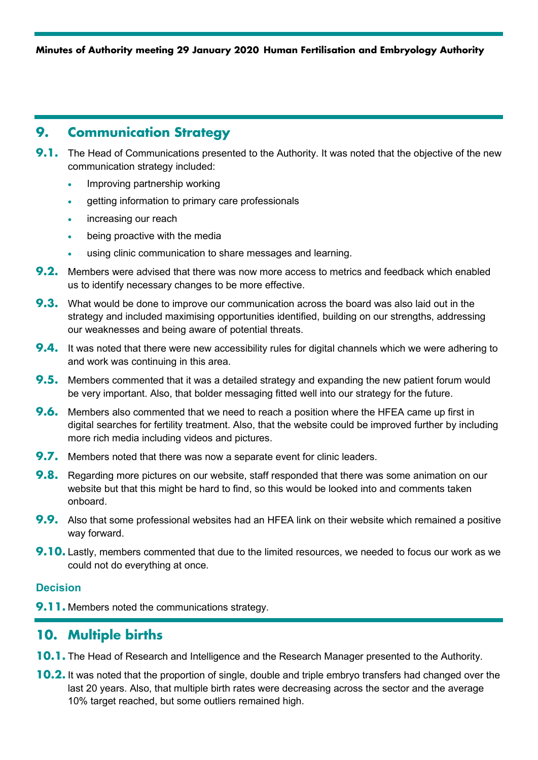# **9. Communication Strategy**

- **9.1.** The Head of Communications presented to the Authority. It was noted that the objective of the new communication strategy included:
	- Improving partnership working
	- getting information to primary care professionals
	- increasing our reach
	- being proactive with the media
	- using clinic communication to share messages and learning.
- **9.2.** Members were advised that there was now more access to metrics and feedback which enabled us to identify necessary changes to be more effective.
- **9.3.** What would be done to improve our communication across the board was also laid out in the strategy and included maximising opportunities identified, building on our strengths, addressing our weaknesses and being aware of potential threats.
- **9.4.** It was noted that there were new accessibility rules for digital channels which we were adhering to and work was continuing in this area.
- **9.5.** Members commented that it was a detailed strategy and expanding the new patient forum would be very important. Also, that bolder messaging fitted well into our strategy for the future.
- **9.6.** Members also commented that we need to reach a position where the HFEA came up first in digital searches for fertility treatment. Also, that the website could be improved further by including more rich media including videos and pictures.
- **9.7.** Members noted that there was now a separate event for clinic leaders.
- **9.8.** Regarding more pictures on our website, staff responded that there was some animation on our website but that this might be hard to find, so this would be looked into and comments taken onboard.
- **9.9.** Also that some professional websites had an HFEA link on their website which remained a positive way forward.
- **9.10.** Lastly, members commented that due to the limited resources, we needed to focus our work as we could not do everything at once.

#### **Decision**

**9.11.** Members noted the communications strategy.

# **10. Multiple births**

- **10.1.** The Head of Research and Intelligence and the Research Manager presented to the Authority.
- **10.2.** It was noted that the proportion of single, double and triple embryo transfers had changed over the last 20 years. Also, that multiple birth rates were decreasing across the sector and the average 10% target reached, but some outliers remained high.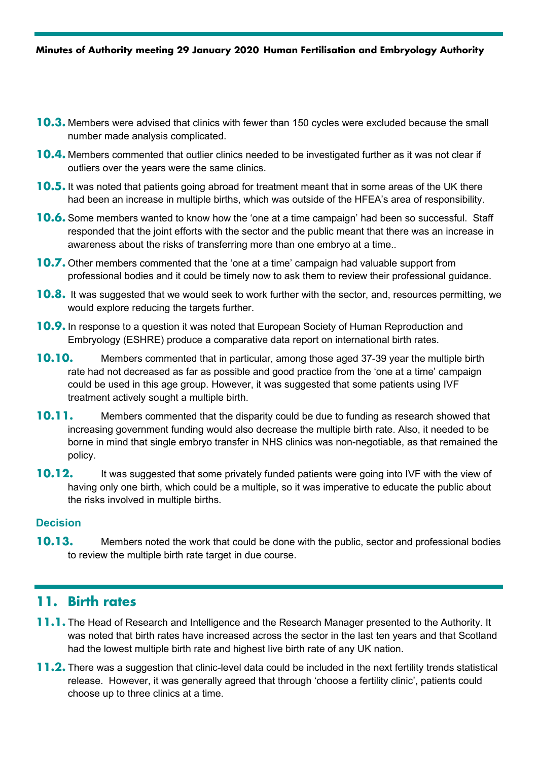- **10.3.** Members were advised that clinics with fewer than 150 cycles were excluded because the small number made analysis complicated.
- **10.4.** Members commented that outlier clinics needed to be investigated further as it was not clear if outliers over the years were the same clinics.
- **10.5.** It was noted that patients going abroad for treatment meant that in some areas of the UK there had been an increase in multiple births, which was outside of the HFEA's area of responsibility.
- **10.6.** Some members wanted to know how the 'one at a time campaign' had been so successful. Staff responded that the joint efforts with the sector and the public meant that there was an increase in awareness about the risks of transferring more than one embryo at a time..
- **10.7.** Other members commented that the 'one at a time' campaign had valuable support from professional bodies and it could be timely now to ask them to review their professional guidance.
- **10.8.** It was suggested that we would seek to work further with the sector, and, resources permitting, we would explore reducing the targets further.
- **10.9.** In response to a question it was noted that European Society of Human Reproduction and Embryology (ESHRE) produce a comparative data report on international birth rates.
- **10.10.** Members commented that in particular, among those aged 37-39 year the multiple birth rate had not decreased as far as possible and good practice from the 'one at a time' campaign could be used in this age group. However, it was suggested that some patients using IVF treatment actively sought a multiple birth.
- **10.11.** Members commented that the disparity could be due to funding as research showed that increasing government funding would also decrease the multiple birth rate. Also, it needed to be borne in mind that single embryo transfer in NHS clinics was non-negotiable, as that remained the policy.
- **10.12.** It was suggested that some privately funded patients were going into IVF with the view of having only one birth, which could be a multiple, so it was imperative to educate the public about the risks involved in multiple births.

#### **Decision**

**10.13.** Members noted the work that could be done with the public, sector and professional bodies to review the multiple birth rate target in due course.

## **11. Birth rates**

- **11.1.** The Head of Research and Intelligence and the Research Manager presented to the Authority. It was noted that birth rates have increased across the sector in the last ten years and that Scotland had the lowest multiple birth rate and highest live birth rate of any UK nation.
- **11.2.** There was a suggestion that clinic-level data could be included in the next fertility trends statistical release. However, it was generally agreed that through 'choose a fertility clinic', patients could choose up to three clinics at a time.